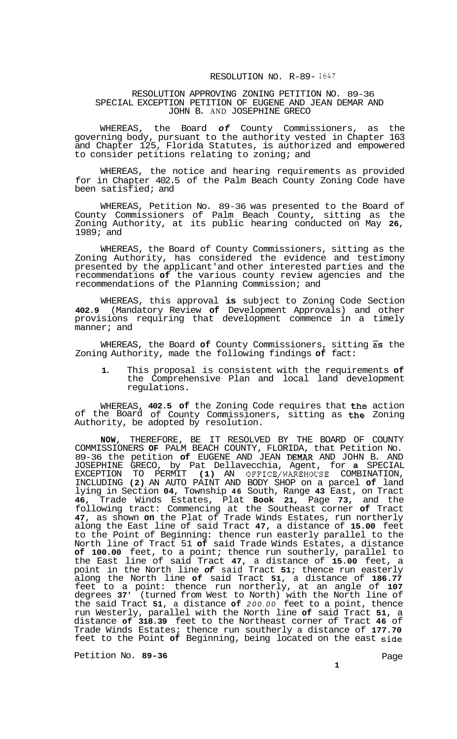## RESOLUTION NO. R-89- *<sup>1647</sup>*

## RESOLUTION APPROVING ZONING PETITION NO. 89-36 SPECIAL EXCEPTION PETITION OF EUGENE AND JEAN DEMAR AND JOHN B. AND JOSEPHINE GRECO

WHEREAS, the Board *of* County Commissioners, as the governing body, pursuant to the authority vested in Chapter 163 and Chapter 125, Florida Statutes, is authorized and empowered to consider petitions relating to zoning; and

WHEREAS, the notice and hearing requirements as provided for in Chapter 402.5 of the Palm Beach County Zoning Code have been satisfied; and

WHEREAS, Petition No. 89-36 was presented to the Board of County Commissioners of Palm Beach County, sitting as the Zoning Authority, at its public hearing conducted on May **26,**  1989; and

WHEREAS, the Board of County Commissioners, sitting as the Zoning Authority, has considered the evidence and testimony presented by the applicant'and other interested parties and the recommendations **of** the various county review agencies and the recommendations of the Planning Commission; and

WHEREAS, this approval **is** subject to Zoning Code Section **402.9** (Mandatory Review **of** Development Approvals) and other provisions requiring that development commence in a timely manner; and

WHEREAS, the Board **of** County Commissioners, sitting **as** the Zoning Authority, made the following findings **of** fact:

**1.** This proposal is consistent with the requirements **of**  the Comprehensive Plan and local land development regulations.

WHEREAS, **402.5 of** the Zoning Code requires that the action of the Board of County Commissioners, sitting as the Zoning Authority, be adopted by resolution.

**NOW,** THEREFORE, BE IT RESOLVED BY THE BOARD OF COUNTY COMMISSIONERS **OF** PALM BEACH COUNTY, FLORIDA, that Petition No. 89-36 the petition of EUGENE AND JEAN DEMAR AND JOHN B. AND JOSEPHINE GRECO, by Pat Dellavecchia, Agent, for **a** SPECIAL EXCEPTION TO PERMIT **(1)** AN OFFICE/WAREHOUSE COMBINATION, INCLUDING **(2)** AN AUTO PAINT AND BODY SHOP on a parcel **of** land lying in Section **04,** Township **46** South, Range **43** East, on Tract **46,** Trade Winds Estates, Plat **Book 21,** Page **73,** and the following tract: Commencing at the Southeast corner **of** Tract **47,** as shown **on** the Plat of Trade Winds Estates, run northerly along the East line of said Tract **47,** a distance of **15.00** feet to the Point of Beginning: thence run easterly parallel to the North line of Tract 51 **of** said Trade Winds Estates, a distance **of 100.00** feet, to a point; thence run southerly, parallel to the East line of said Tract **47,** a distance of **15.00** feet, a point in the North line *of* said Tract **51;** thence run easterly along the North line **of** said Tract **51,** a distance of **186.77**  feet to a point: thence run northerly, at an angle of **107**  degrees **37'** (turned from West to North) with the North line of the said Tract **51,** a distance **of** *200.00* feet to a point, thence run Westerly, parallel with the North line **of** said Tract **51,** a distance **of 318.39** feet to the Northeast corner of Tract **46** of Trade Winds Estates; thence run southerly a distance of **177.70**  feet to the Point **of** Beginning, being located on the east side

Petition No. 89-36 **Page**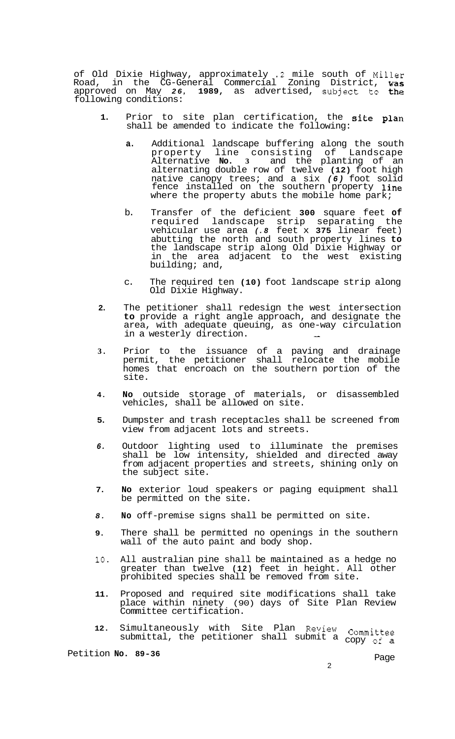of Old Dixie Highway, approximately **.2** mile south of Miller Road, in the CG-General Commercial Zoning District, was approved on May *26,* **1989,** as advertised, subject to the following conditions:

- **1.** Prior to site plan certification, the site plan shall be amended to indicate the following:
	- **a.** Additional landscape buffering along the south property line consisting of Landscape Alternative **No. 3** and the planting of an alternating double row of twelve **(12)** foot high native canopy trees; and a six *(6)* foot solid fence installed on the southern property **line** where the property abuts the mobile home park;
	- b. Transfer of the deficient **300** square feet **of**  required landscape strip separating the vehicular use area *(.8* feet x **375** linear feet) abutting the north and south property lines **to**  the landscape strip along Old Dixie Highway or in the area adjacent to the west existing building; and,
	- c. The required ten **(10)** foot landscape strip along Old Dixie Highway.
- **2.** The petitioner shall redesign the west intersection **to** provide a right angle approach, and designate the area, with adequate queuing, as one-way circulation<br>in a westerly direction.
- **3.** Prior to the issuance of a paving and drainage permit, the petitioner shall relocate the mobile homes that encroach on the southern portion of the site.
- **4. No** outside storage of materials, or disassembled vehicles, shall be allowed on site.
- **5.** Dumpster and trash receptacles shall be screened from view from adjacent lots and streets.
- *6.* Outdoor lighting used to illuminate the premises shall be low intensity, shielded and directed away from adjacent properties and streets, shining only on the subject site.
- **7. No** exterior loud speakers or paging equipment shall be permitted on the site.
- *8.* **No** off-premise signs shall be permitted on site.
- **9.** There shall be permitted no openings in the southern wall of the auto paint and body shop.
- **10.** All australian pine shall be maintained as a hedge no greater than twelve **(12)** feet in height. All other prohibited species shall be removed from site.
- **11.** Proposed and required site modifications shall take place within ninety (90) days of Site Plan Review Committee certification.
- **12.** Simultaneously with Site Plan Review Committee submittal, the petitioner shall submit a copy **of** <sup>a</sup>

Petition **No. 89-36** Page

 $\mathfrak{p}$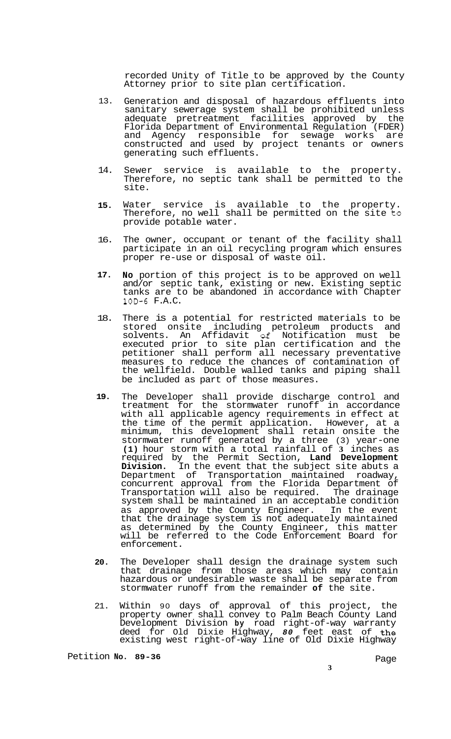recorded Unity of Title to be approved by the County Attorney prior to site plan certification.

- 13. Generation and disposal of hazardous effluents into sanitary sewerage system shall be prohibited unless adequate pretreatment facilities approved by the Florida Department of Environmental Regulation (FDER) and Agency responsible for sewage works are constructed and used by project tenants or owners generating such effluents.
- 14. Sewer service is available to the property. Therefore, no septic tank shall be permitted to the site.
- **15.**  Water service is available to the property. Therefore, no well shall be permitted on the site to provide potable water.
- 16. The owner, occupant or tenant of the facility shall participate in an oil recycling program which ensures proper re-use or disposal of waste oil.
- **17. No** portion of this project is to be approved on well and/or septic tank, existing or new. Existing septic tanks are to be abandoned in accordance with Chapter 10D-6 F.A.C.
- 18. There is a potential for restricted materials to be stored onsite including petroleum products and solvents. An Affidavit *02* Notification must be executed prior to site plan certification and the petitioner shall perform all necessary preventative measures to reduce the chances of contamination of the wellfield. Double walled tanks and piping shall be included as part of those measures.
- **19.**  The Developer shall provide discharge control and treatment for the stormwater runoff in accordance with all applicable agency requirements in effect at the time of the permit application. However, at a minimum, this development shall retain onsite the stormwater runoff generated by a three (3) year-one **(1)** hour storm with a total rainfall of **3** inches as required by the Permit Section, **Land Development Division.** In the event that the subject site abuts a Department of Transportation maintained roadway, concurrent approval from the Florida Department of Transportation will also be required. The drainage system shall be maintained in an acceptable condition as approved by the County Engineer. In the event that the drainage system is not adequately maintained as determined by the County Engineer, this matter will be referred to the Code Enforcement Board for enforcement.
- **20.**  The Developer shall design the drainage system such that drainage from those areas which may contain hazardous or undesirable waste shall be separate from stormwater runoff from the remainder **of** the site.
- 21. Within 90 days of approval of this project, the property owner shall convey to Palm Beach County Land Development Division **by** road right-of-way warranty deed for Old Dixie Highway, *80* feet east of the existing west right-of-way line of Old Dixie Highway

Petition No. 89-36 **Page** 

**3**